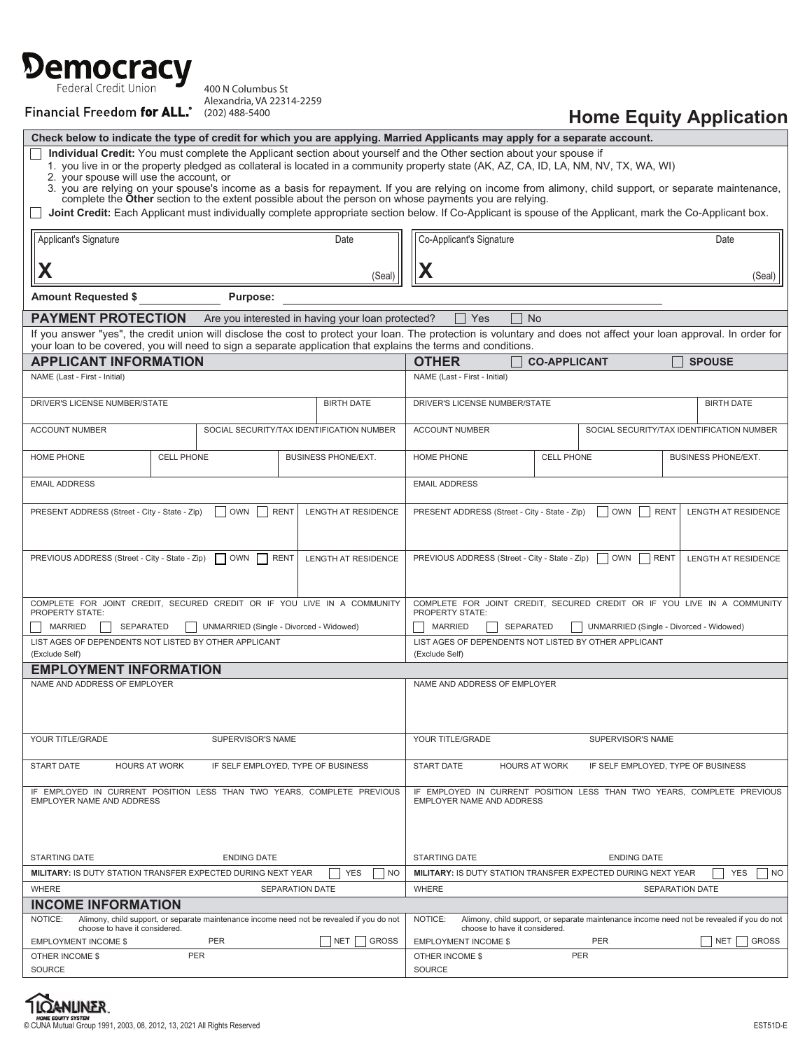# Democracy

400 N Columbus St Alexandria, VA 22314-2259

**Financial Freedom for ALL.** (202) 488-5400

## **Home Equity Application**

| Check below to indicate the type of credit for which you are applying. Married Applicants may apply for a separate account.                                                                                                                                                                               |                                           |        |                        |                                                                                                          |                                                                                                                                                                             |  |                   |                                                                                           |                                           |                   |    |  |
|-----------------------------------------------------------------------------------------------------------------------------------------------------------------------------------------------------------------------------------------------------------------------------------------------------------|-------------------------------------------|--------|------------------------|----------------------------------------------------------------------------------------------------------|-----------------------------------------------------------------------------------------------------------------------------------------------------------------------------|--|-------------------|-------------------------------------------------------------------------------------------|-------------------------------------------|-------------------|----|--|
| Individual Credit: You must complete the Applicant section about yourself and the Other section about your spouse if<br>1. you live in or the property pledged as collateral is located in a community property state (AK, AZ, CA, ID, LA, NM, NV, TX, WA, WI)<br>2. your spouse will use the account, or |                                           |        |                        |                                                                                                          |                                                                                                                                                                             |  |                   |                                                                                           |                                           |                   |    |  |
| 3. you are relying on your spouse's income as a basis for repayment. If you are relying on income from alimony, child support, or separate maintenance,<br>complete the Other section to the extent possible about the person on whose payments you are relying.                                          |                                           |        |                        |                                                                                                          |                                                                                                                                                                             |  |                   |                                                                                           |                                           |                   |    |  |
| Joint Credit: Each Applicant must individually complete appropriate section below. If Co-Applicant is spouse of the Applicant, mark the Co-Applicant box.                                                                                                                                                 |                                           |        |                        |                                                                                                          |                                                                                                                                                                             |  |                   |                                                                                           |                                           |                   |    |  |
| Applicant's Signature                                                                                                                                                                                                                                                                                     | Co-Applicant's Signature<br>Date          |        |                        |                                                                                                          |                                                                                                                                                                             |  |                   |                                                                                           |                                           |                   |    |  |
| Χ                                                                                                                                                                                                                                                                                                         |                                           | (Seal) |                        |                                                                                                          |                                                                                                                                                                             |  |                   |                                                                                           |                                           |                   |    |  |
| <b>Amount Requested \$</b><br>Purpose:                                                                                                                                                                                                                                                                    |                                           |        |                        |                                                                                                          |                                                                                                                                                                             |  |                   |                                                                                           |                                           |                   |    |  |
| <b>PAYMENT PROTECTION</b><br>Are you interested in having your loan protected?<br>Yes<br><b>No</b>                                                                                                                                                                                                        |                                           |        |                        |                                                                                                          |                                                                                                                                                                             |  |                   |                                                                                           |                                           |                   |    |  |
| If you answer "yes", the credit union will disclose the cost to protect your loan. The protection is voluntary and does not affect your loan approval. In order for<br>your loan to be covered, you will need to sign a separate application that explains the terms and conditions.                      |                                           |        |                        |                                                                                                          |                                                                                                                                                                             |  |                   |                                                                                           |                                           |                   |    |  |
| <b>APPLICANT INFORMATION</b>                                                                                                                                                                                                                                                                              |                                           |        |                        |                                                                                                          | <b>OTHER</b><br><b>CO-APPLICANT</b><br><b>SPOUSE</b>                                                                                                                        |  |                   |                                                                                           |                                           |                   |    |  |
| NAME (Last - First - Initial)                                                                                                                                                                                                                                                                             |                                           |        |                        |                                                                                                          | NAME (Last - First - Initial)                                                                                                                                               |  |                   |                                                                                           |                                           |                   |    |  |
| DRIVER'S LICENSE NUMBER/STATE                                                                                                                                                                                                                                                                             |                                           |        |                        | <b>BIRTH DATE</b>                                                                                        | DRIVER'S LICENSE NUMBER/STATE                                                                                                                                               |  |                   |                                                                                           |                                           | <b>BIRTH DATE</b> |    |  |
| <b>ACCOUNT NUMBER</b>                                                                                                                                                                                                                                                                                     | SOCIAL SECURITY/TAX IDENTIFICATION NUMBER |        |                        |                                                                                                          | <b>ACCOUNT NUMBER</b>                                                                                                                                                       |  |                   |                                                                                           | SOCIAL SECURITY/TAX IDENTIFICATION NUMBER |                   |    |  |
| <b>HOME PHONE</b>                                                                                                                                                                                                                                                                                         | <b>CELL PHONE</b>                         |        |                        | <b>BUSINESS PHONE/EXT.</b>                                                                               | <b>HOME PHONE</b>                                                                                                                                                           |  | <b>CELL PHONE</b> |                                                                                           | <b>BUSINESS PHONE/EXT.</b>                |                   |    |  |
| <b>EMAIL ADDRESS</b>                                                                                                                                                                                                                                                                                      |                                           |        |                        | <b>EMAIL ADDRESS</b>                                                                                     |                                                                                                                                                                             |  |                   |                                                                                           |                                           |                   |    |  |
| OWN<br>PRESENT ADDRESS (Street - City - State - Zip)<br><b>RENT</b><br><b>LENGTH AT RESIDENCE</b>                                                                                                                                                                                                         |                                           |        |                        |                                                                                                          | <b>OWN</b><br>LENGTH AT RESIDENCE<br>PRESENT ADDRESS (Street - City - State - Zip)<br><b>RENT</b>                                                                           |  |                   |                                                                                           |                                           |                   |    |  |
| PREVIOUS ADDRESS (Street - City - State - Zip)<br><b>OWN</b><br>RENT<br><b>LENGTH AT RESIDENCE</b>                                                                                                                                                                                                        |                                           |        |                        |                                                                                                          | <b>OWN</b><br><b>LENGTH AT RESIDENCE</b><br>PREVIOUS ADDRESS (Street - City - State - Zip)<br><b>RENT</b>                                                                   |  |                   |                                                                                           |                                           |                   |    |  |
| COMPLETE FOR JOINT CREDIT, SECURED CREDIT OR IF YOU LIVE IN A COMMUNITY<br><b>PROPERTY STATE:</b>                                                                                                                                                                                                         |                                           |        |                        |                                                                                                          | COMPLETE FOR JOINT CREDIT, SECURED CREDIT OR IF YOU LIVE IN A COMMUNITY<br>PROPERTY STATE:<br><b>MARRIED</b><br><b>SEPARATED</b><br>UNMARRIED (Single - Divorced - Widowed) |  |                   |                                                                                           |                                           |                   |    |  |
| UNMARRIED (Single - Divorced - Widowed)<br><b>MARRIED</b><br>SEPARATED                                                                                                                                                                                                                                    |                                           |        |                        |                                                                                                          |                                                                                                                                                                             |  |                   | LIST AGES OF DEPENDENTS NOT LISTED BY OTHER APPLICANT                                     |                                           |                   |    |  |
| LIST AGES OF DEPENDENTS NOT LISTED BY OTHER APPLICANT<br>(Exclude Self)                                                                                                                                                                                                                                   |                                           |        |                        |                                                                                                          | (Exclude Self)                                                                                                                                                              |  |                   |                                                                                           |                                           |                   |    |  |
| <b>EMPLOYMENT INFORMATION</b>                                                                                                                                                                                                                                                                             |                                           |        |                        |                                                                                                          |                                                                                                                                                                             |  |                   |                                                                                           |                                           |                   |    |  |
| NAME AND ADDRESS OF EMPLOYER                                                                                                                                                                                                                                                                              |                                           |        |                        |                                                                                                          | NAME AND ADDRESS OF EMPLOYER                                                                                                                                                |  |                   |                                                                                           |                                           |                   |    |  |
| YOUR TITLE/GRADE<br>SUPERVISOR'S NAME                                                                                                                                                                                                                                                                     |                                           |        |                        |                                                                                                          | YOUR TITLE/GRADE                                                                                                                                                            |  |                   | SUPERVISOR'S NAME                                                                         |                                           |                   |    |  |
| <b>START DATE</b><br><b>HOURS AT WORK</b><br>IF SELF EMPLOYED, TYPE OF BUSINESS                                                                                                                                                                                                                           |                                           |        |                        | <b>START DATE</b><br><b>HOURS AT WORK</b><br>IF SELF EMPLOYED, TYPE OF BUSINESS                          |                                                                                                                                                                             |  |                   |                                                                                           |                                           |                   |    |  |
| IF EMPLOYED IN CURRENT POSITION LESS THAN TWO YEARS, COMPLETE PREVIOUS<br>EMPLOYER NAME AND ADDRESS                                                                                                                                                                                                       |                                           |        |                        |                                                                                                          | IF EMPLOYED IN CURRENT POSITION LESS THAN TWO YEARS, COMPLETE PREVIOUS<br>EMPLOYER NAME AND ADDRESS                                                                         |  |                   |                                                                                           |                                           |                   |    |  |
| <b>STARTING DATE</b><br><b>ENDING DATE</b>                                                                                                                                                                                                                                                                |                                           |        |                        |                                                                                                          | <b>STARTING DATE</b><br><b>ENDING DATE</b>                                                                                                                                  |  |                   |                                                                                           |                                           |                   |    |  |
| MILITARY: IS DUTY STATION TRANSFER EXPECTED DURING NEXT YEAR<br><b>YES</b><br><b>NO</b>                                                                                                                                                                                                                   |                                           |        |                        |                                                                                                          |                                                                                                                                                                             |  |                   | MILITARY: IS DUTY STATION TRANSFER EXPECTED DURING NEXT YEAR                              |                                           | <b>YES</b>        | NO |  |
| WHERE                                                                                                                                                                                                                                                                                                     |                                           |        | <b>SEPARATION DATE</b> |                                                                                                          | WHERE                                                                                                                                                                       |  |                   |                                                                                           | <b>SEPARATION DATE</b>                    |                   |    |  |
| <b>INCOME INFORMATION</b><br>NOTICE:                                                                                                                                                                                                                                                                      |                                           |        |                        |                                                                                                          | NOTICE:                                                                                                                                                                     |  |                   | Alimony, child support, or separate maintenance income need not be revealed if you do not |                                           |                   |    |  |
| Alimony, child support, or separate maintenance income need not be revealed if you do not<br>choose to have it considered.                                                                                                                                                                                |                                           |        |                        |                                                                                                          | choose to have it considered.                                                                                                                                               |  |                   |                                                                                           |                                           |                   |    |  |
| <b>EMPLOYMENT INCOME \$</b><br>PER<br><b>NET</b><br><b>GROSS</b><br>PER<br>OTHER INCOME \$                                                                                                                                                                                                                |                                           |        |                        | <b>EMPLOYMENT INCOME \$</b><br><b>PER</b><br><b>NET</b><br><b>GROSS</b><br>PER<br><b>OTHER INCOME \$</b> |                                                                                                                                                                             |  |                   |                                                                                           |                                           |                   |    |  |
| SOURCE                                                                                                                                                                                                                                                                                                    |                                           |        |                        |                                                                                                          | SOURCE                                                                                                                                                                      |  |                   |                                                                                           |                                           |                   |    |  |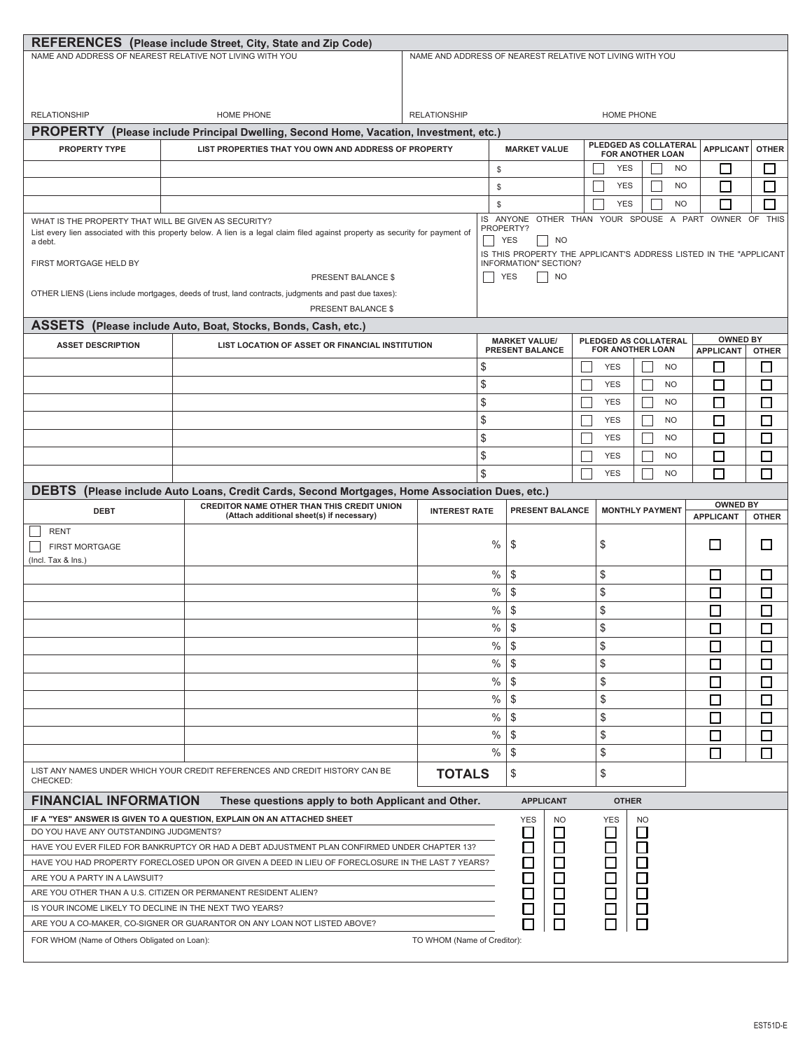|                                                                                                                                                                                                   | <b>REFERENCES</b> (Please include Street, City, State and Zip Code)                                  |                                                                                                      |                                                                                                                       |                                                          |  |                   |                                                  |                  |              |  |  |
|---------------------------------------------------------------------------------------------------------------------------------------------------------------------------------------------------|------------------------------------------------------------------------------------------------------|------------------------------------------------------------------------------------------------------|-----------------------------------------------------------------------------------------------------------------------|----------------------------------------------------------|--|-------------------|--------------------------------------------------|------------------|--------------|--|--|
| NAME AND ADDRESS OF NEAREST RELATIVE NOT LIVING WITH YOU                                                                                                                                          |                                                                                                      |                                                                                                      |                                                                                                                       | NAME AND ADDRESS OF NEAREST RELATIVE NOT LIVING WITH YOU |  |                   |                                                  |                  |              |  |  |
|                                                                                                                                                                                                   |                                                                                                      |                                                                                                      |                                                                                                                       |                                                          |  |                   |                                                  |                  |              |  |  |
|                                                                                                                                                                                                   |                                                                                                      |                                                                                                      |                                                                                                                       |                                                          |  |                   |                                                  |                  |              |  |  |
|                                                                                                                                                                                                   |                                                                                                      |                                                                                                      |                                                                                                                       |                                                          |  |                   |                                                  |                  |              |  |  |
| <b>RELATIONSHIP</b>                                                                                                                                                                               | HOME PHONE                                                                                           | <b>RELATIONSHIP</b>                                                                                  |                                                                                                                       |                                                          |  | <b>HOME PHONE</b> |                                                  |                  |              |  |  |
| <b>PROPERTY</b>                                                                                                                                                                                   | (Please include Principal Dwelling, Second Home, Vacation, Investment, etc.)                         |                                                                                                      |                                                                                                                       |                                                          |  |                   |                                                  |                  |              |  |  |
| <b>PROPERTY TYPE</b>                                                                                                                                                                              | LIST PROPERTIES THAT YOU OWN AND ADDRESS OF PROPERTY                                                 |                                                                                                      |                                                                                                                       | <b>MARKET VALUE</b>                                      |  |                   | PLEDGED AS COLLATERAL<br><b>FOR ANOTHER LOAN</b> | <b>APPLICANT</b> | <b>OTHER</b> |  |  |
|                                                                                                                                                                                                   |                                                                                                      |                                                                                                      | \$                                                                                                                    |                                                          |  | <b>YES</b>        | <b>NO</b>                                        | □                | ட            |  |  |
|                                                                                                                                                                                                   |                                                                                                      |                                                                                                      |                                                                                                                       |                                                          |  | <b>YES</b>        | <b>NO</b>                                        | $\Box$           |              |  |  |
|                                                                                                                                                                                                   |                                                                                                      |                                                                                                      | \$                                                                                                                    |                                                          |  |                   |                                                  |                  | $\Box$       |  |  |
|                                                                                                                                                                                                   |                                                                                                      |                                                                                                      | \$                                                                                                                    |                                                          |  | <b>YES</b>        | <b>NO</b>                                        | Г                |              |  |  |
| WHAT IS THE PROPERTY THAT WILL BE GIVEN AS SECURITY?<br>List every lien associated with this property below. A lien is a legal claim filed against property as security for payment of<br>a debt. |                                                                                                      | IS ANYONE OTHER THAN YOUR SPOUSE A PART OWNER OF<br><b>THIS</b><br>PROPERTY?<br><b>YES</b><br>$ $ NO |                                                                                                                       |                                                          |  |                   |                                                  |                  |              |  |  |
|                                                                                                                                                                                                   |                                                                                                      |                                                                                                      | IS THIS PROPERTY THE APPLICANT'S ADDRESS LISTED IN THE "APPLICANT                                                     |                                                          |  |                   |                                                  |                  |              |  |  |
| FIRST MORTGAGE HELD BY                                                                                                                                                                            |                                                                                                      |                                                                                                      | INFORMATION" SECTION?                                                                                                 |                                                          |  |                   |                                                  |                  |              |  |  |
|                                                                                                                                                                                                   | PRESENT BALANCE \$                                                                                   |                                                                                                      | <b>YES</b><br><b>NO</b>                                                                                               |                                                          |  |                   |                                                  |                  |              |  |  |
|                                                                                                                                                                                                   | OTHER LIENS (Liens include mortgages, deeds of trust, land contracts, judgments and past due taxes): |                                                                                                      |                                                                                                                       |                                                          |  |                   |                                                  |                  |              |  |  |
|                                                                                                                                                                                                   | PRESENT BALANCE \$                                                                                   |                                                                                                      |                                                                                                                       |                                                          |  |                   |                                                  |                  |              |  |  |
| <b>ASSETS</b>                                                                                                                                                                                     | (Please include Auto, Boat, Stocks, Bonds, Cash, etc.)                                               |                                                                                                      |                                                                                                                       |                                                          |  |                   |                                                  |                  |              |  |  |
| <b>ASSET DESCRIPTION</b>                                                                                                                                                                          | LIST LOCATION OF ASSET OR FINANCIAL INSTITUTION                                                      |                                                                                                      | <b>OWNED BY</b><br><b>MARKET VALUE/</b><br>PLEDGED AS COLLATERAL<br><b>FOR ANOTHER LOAN</b><br><b>PRESENT BALANCE</b> |                                                          |  |                   |                                                  |                  |              |  |  |
|                                                                                                                                                                                                   |                                                                                                      |                                                                                                      |                                                                                                                       |                                                          |  |                   |                                                  | <b>APPLICANT</b> | <b>OTHER</b> |  |  |
|                                                                                                                                                                                                   |                                                                                                      |                                                                                                      | \$                                                                                                                    |                                                          |  | <b>YES</b>        | <b>NO</b>                                        | ⊔                | □            |  |  |
|                                                                                                                                                                                                   |                                                                                                      |                                                                                                      | \$                                                                                                                    |                                                          |  | <b>YES</b>        | <b>NO</b>                                        | □                | □            |  |  |
|                                                                                                                                                                                                   |                                                                                                      |                                                                                                      | \$                                                                                                                    |                                                          |  | <b>YES</b>        | <b>NO</b>                                        | П                | $\Box$       |  |  |
|                                                                                                                                                                                                   |                                                                                                      |                                                                                                      | \$                                                                                                                    |                                                          |  | <b>YES</b>        | N <sub>O</sub>                                   | П                | □            |  |  |
|                                                                                                                                                                                                   |                                                                                                      |                                                                                                      | \$                                                                                                                    |                                                          |  | <b>YES</b>        | <b>NO</b>                                        | □                | $\Box$       |  |  |
|                                                                                                                                                                                                   |                                                                                                      |                                                                                                      | \$                                                                                                                    |                                                          |  | <b>YES</b>        | <b>NO</b>                                        | □                | $\Box$       |  |  |
|                                                                                                                                                                                                   |                                                                                                      |                                                                                                      | \$                                                                                                                    |                                                          |  | <b>YES</b>        | <b>NO</b>                                        | П                | $\Box$       |  |  |
|                                                                                                                                                                                                   |                                                                                                      |                                                                                                      |                                                                                                                       |                                                          |  |                   |                                                  |                  |              |  |  |
| <b>DEBTS</b>                                                                                                                                                                                      | (Please include Auto Loans, Credit Cards, Second Mortgages, Home Association Dues, etc.)             |                                                                                                      |                                                                                                                       |                                                          |  |                   |                                                  | <b>OWNED BY</b>  |              |  |  |
| <b>DEBT</b>                                                                                                                                                                                       | CREDITOR NAME OTHER THAN THIS CREDIT UNION<br>(Attach additional sheet(s) if necessary)              | <b>INTEREST RATE</b>                                                                                 |                                                                                                                       | PRESENT BALANCE                                          |  |                   | <b>MONTHLY PAYMENT</b>                           | <b>APPLICANT</b> | <b>OTHER</b> |  |  |
| <b>RENT</b>                                                                                                                                                                                       |                                                                                                      |                                                                                                      |                                                                                                                       |                                                          |  |                   |                                                  |                  |              |  |  |
| FIRST MORTGAGE                                                                                                                                                                                    |                                                                                                      |                                                                                                      | $\%$                                                                                                                  | \$                                                       |  |                   |                                                  | □                | $\Box$       |  |  |
|                                                                                                                                                                                                   |                                                                                                      |                                                                                                      |                                                                                                                       |                                                          |  | \$                |                                                  |                  |              |  |  |
| $($ lncl. Tax & lns. $)$                                                                                                                                                                          |                                                                                                      |                                                                                                      |                                                                                                                       |                                                          |  |                   |                                                  |                  |              |  |  |
|                                                                                                                                                                                                   |                                                                                                      |                                                                                                      | $\%$                                                                                                                  | \$                                                       |  | \$                |                                                  | $\Box$           | □            |  |  |
|                                                                                                                                                                                                   |                                                                                                      |                                                                                                      | %                                                                                                                     | \$                                                       |  | \$                |                                                  |                  |              |  |  |
|                                                                                                                                                                                                   |                                                                                                      |                                                                                                      |                                                                                                                       |                                                          |  |                   |                                                  | $\Box$           | $\Box$       |  |  |
|                                                                                                                                                                                                   |                                                                                                      |                                                                                                      | $\%$                                                                                                                  | \$                                                       |  | \$                |                                                  | $\Box$           | □            |  |  |
|                                                                                                                                                                                                   |                                                                                                      |                                                                                                      | $\%$                                                                                                                  | \$                                                       |  | \$                |                                                  | $\Box$           | $\Box$       |  |  |
|                                                                                                                                                                                                   |                                                                                                      |                                                                                                      | $\%$                                                                                                                  | \$                                                       |  | \$                |                                                  | □                | □            |  |  |
|                                                                                                                                                                                                   |                                                                                                      |                                                                                                      | $\%$                                                                                                                  | \$                                                       |  | \$                |                                                  | $\Box$           | □            |  |  |
|                                                                                                                                                                                                   |                                                                                                      |                                                                                                      | $\%$                                                                                                                  | \$                                                       |  | \$                |                                                  | $\Box$           | $\Box$       |  |  |
|                                                                                                                                                                                                   |                                                                                                      |                                                                                                      |                                                                                                                       | \$                                                       |  | \$                |                                                  |                  |              |  |  |
|                                                                                                                                                                                                   |                                                                                                      |                                                                                                      | $\%$                                                                                                                  |                                                          |  |                   |                                                  | □                | □            |  |  |
|                                                                                                                                                                                                   |                                                                                                      |                                                                                                      | $\%$                                                                                                                  | \$                                                       |  | \$                |                                                  | □                | □            |  |  |
|                                                                                                                                                                                                   |                                                                                                      |                                                                                                      | $\%$                                                                                                                  | \$                                                       |  | \$                |                                                  | $\Box$           | $\Box$       |  |  |
|                                                                                                                                                                                                   |                                                                                                      |                                                                                                      | $\%$                                                                                                                  | \$                                                       |  | \$                |                                                  | $\Box$           | $\Box$       |  |  |
| CHECKED:                                                                                                                                                                                          | LIST ANY NAMES UNDER WHICH YOUR CREDIT REFERENCES AND CREDIT HISTORY CAN BE                          | <b>TOTALS</b>                                                                                        |                                                                                                                       | \$                                                       |  | \$                |                                                  |                  |              |  |  |
| <b>FINANCIAL INFORMATION</b>                                                                                                                                                                      | These questions apply to both Applicant and Other.                                                   |                                                                                                      |                                                                                                                       | <b>APPLICANT</b>                                         |  | <b>OTHER</b>      |                                                  |                  |              |  |  |
|                                                                                                                                                                                                   | IF A "YES" ANSWER IS GIVEN TO A QUESTION, EXPLAIN ON AN ATTACHED SHEET                               |                                                                                                      |                                                                                                                       | <b>YES</b><br>NO.                                        |  | <b>YES</b>        | <b>NO</b>                                        |                  |              |  |  |
| DO YOU HAVE ANY OUTSTANDING JUDGMENTS?                                                                                                                                                            |                                                                                                      |                                                                                                      |                                                                                                                       | $\Box$<br>$\Box$                                         |  | □                 | □                                                |                  |              |  |  |
|                                                                                                                                                                                                   | HAVE YOU EVER FILED FOR BANKRUPTCY OR HAD A DEBT ADJUSTMENT PLAN CONFIRMED UNDER CHAPTER 13?         |                                                                                                      |                                                                                                                       | $\Box$<br>$\Box$                                         |  |                   | $\Box$                                           |                  |              |  |  |
|                                                                                                                                                                                                   | HAVE YOU HAD PROPERTY FORECLOSED UPON OR GIVEN A DEED IN LIEU OF FORECLOSURE IN THE LAST 7 YEARS?    |                                                                                                      |                                                                                                                       | $\Box$                                                   |  |                   | $\Box$                                           |                  |              |  |  |
| ARE YOU A PARTY IN A LAWSUIT?                                                                                                                                                                     |                                                                                                      |                                                                                                      |                                                                                                                       | $\Box$                                                   |  |                   |                                                  |                  |              |  |  |
| ARE YOU OTHER THAN A U.S. CITIZEN OR PERMANENT RESIDENT ALIEN?                                                                                                                                    |                                                                                                      |                                                                                                      |                                                                                                                       |                                                          |  |                   |                                                  |                  |              |  |  |
| IS YOUR INCOME LIKELY TO DECLINE IN THE NEXT TWO YEARS?                                                                                                                                           |                                                                                                      |                                                                                                      |                                                                                                                       |                                                          |  | 00000             | h<br>DD D                                        |                  |              |  |  |
|                                                                                                                                                                                                   | ARE YOU A CO-MAKER, CO-SIGNER OR GUARANTOR ON ANY LOAN NOT LISTED ABOVE?                             |                                                                                                      |                                                                                                                       | 2000D<br>日日日                                             |  | $\Box$            | $\Box$                                           |                  |              |  |  |
| FOR WHOM (Name of Others Obligated on Loan):                                                                                                                                                      |                                                                                                      | TO WHOM (Name of Creditor):                                                                          |                                                                                                                       |                                                          |  |                   |                                                  |                  |              |  |  |